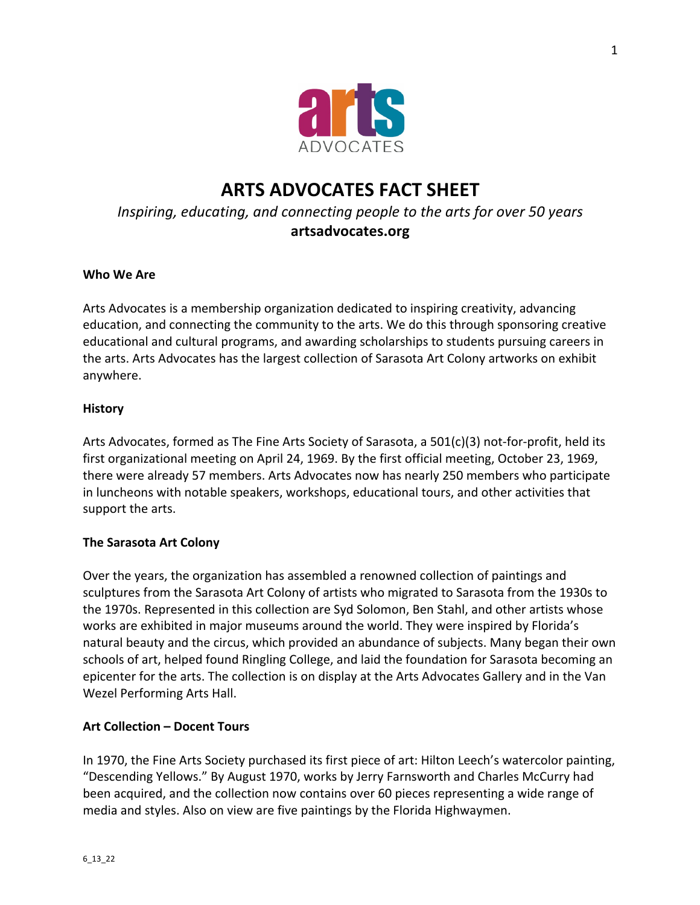

# **ARTS ADVOCATES FACT SHEET** *Inspiring, educating, and connecting people to the arts for over 50 years* **artsadvocates.org**

#### **Who We Are**

Arts Advocates is a membership organization dedicated to inspiring creativity, advancing education, and connecting the community to the arts. We do this through sponsoring creative educational and cultural programs, and awarding scholarships to students pursuing careers in the arts. Arts Advocates has the largest collection of Sarasota Art Colony artworks on exhibit anywhere.

#### **History**

Arts Advocates, formed as The Fine Arts Society of Sarasota, a 501(c)(3) not-for-profit, held its first organizational meeting on April 24, 1969. By the first official meeting, October 23, 1969, there were already 57 members. Arts Advocates now has nearly 250 members who participate in luncheons with notable speakers, workshops, educational tours, and other activities that support the arts.

#### **The Sarasota Art Colony**

Over the years, the organization has assembled a renowned collection of paintings and sculptures from the Sarasota Art Colony of artists who migrated to Sarasota from the 1930s to the 1970s. Represented in this collection are Syd Solomon, Ben Stahl, and other artists whose works are exhibited in major museums around the world. They were inspired by Florida's natural beauty and the circus, which provided an abundance of subjects. Many began their own schools of art, helped found Ringling College, and laid the foundation for Sarasota becoming an epicenter for the arts. The collection is on display at the Arts Advocates Gallery and in the Van Wezel Performing Arts Hall.

#### **Art Collection – Docent Tours**

In 1970, the Fine Arts Society purchased its first piece of art: Hilton Leech's watercolor painting, "Descending Yellows." By August 1970, works by Jerry Farnsworth and Charles McCurry had been acquired, and the collection now contains over 60 pieces representing a wide range of media and styles. Also on view are five paintings by the Florida Highwaymen.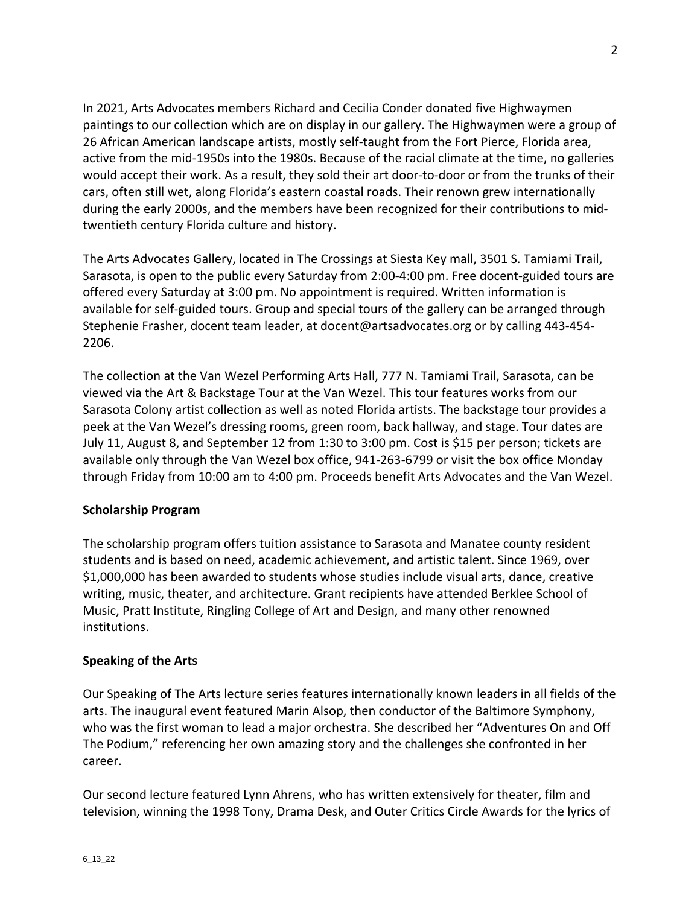In 2021, Arts Advocates members Richard and Cecilia Conder donated five Highwaymen paintings to our collection which are on display in our gallery. The Highwaymen were a group of 26 African American landscape artists, mostly self-taught from the Fort Pierce, Florida area, active from the mid-1950s into the 1980s. Because of the racial climate at the time, no galleries would accept their work. As a result, they sold their art door-to-door or from the trunks of their cars, often still wet, along Florida's eastern coastal roads. Their renown grew internationally during the early 2000s, and the members have been recognized for their contributions to midtwentieth century Florida culture and history.

The Arts Advocates Gallery, located in The Crossings at Siesta Key mall, 3501 S. Tamiami Trail, Sarasota, is open to the public every Saturday from 2:00-4:00 pm. Free docent-guided tours are offered every Saturday at 3:00 pm. No appointment is required. Written information is available for self-guided tours. Group and special tours of the gallery can be arranged through Stephenie Frasher, docent team leader, at docent@artsadvocates.org or by calling 443-454- 2206.

The collection at the Van Wezel Performing Arts Hall, 777 N. Tamiami Trail, Sarasota, can be viewed via the Art & Backstage Tour at the Van Wezel. This tour features works from our Sarasota Colony artist collection as well as noted Florida artists. The backstage tour provides a peek at the Van Wezel's dressing rooms, green room, back hallway, and stage. Tour dates are July 11, August 8, and September 12 from 1:30 to 3:00 pm. Cost is \$15 per person; tickets are available only through the Van Wezel box office, 941-263-6799 or visit the box office Monday through Friday from 10:00 am to 4:00 pm. Proceeds benefit Arts Advocates and the Van Wezel.

## **Scholarship Program**

The scholarship program offers tuition assistance to Sarasota and Manatee county resident students and is based on need, academic achievement, and artistic talent. Since 1969, over \$1,000,000 has been awarded to students whose studies include visual arts, dance, creative writing, music, theater, and architecture. Grant recipients have attended Berklee School of Music, Pratt Institute, Ringling College of Art and Design, and many other renowned institutions.

## **Speaking of the Arts**

Our Speaking of The Arts lecture series features internationally known leaders in all fields of the arts. The inaugural event featured Marin Alsop, then conductor of the Baltimore Symphony, who was the first woman to lead a major orchestra. She described her "Adventures On and Off The Podium," referencing her own amazing story and the challenges she confronted in her career.

Our second lecture featured Lynn Ahrens, who has written extensively for theater, film and television, winning the 1998 Tony, Drama Desk, and Outer Critics Circle Awards for the lyrics of